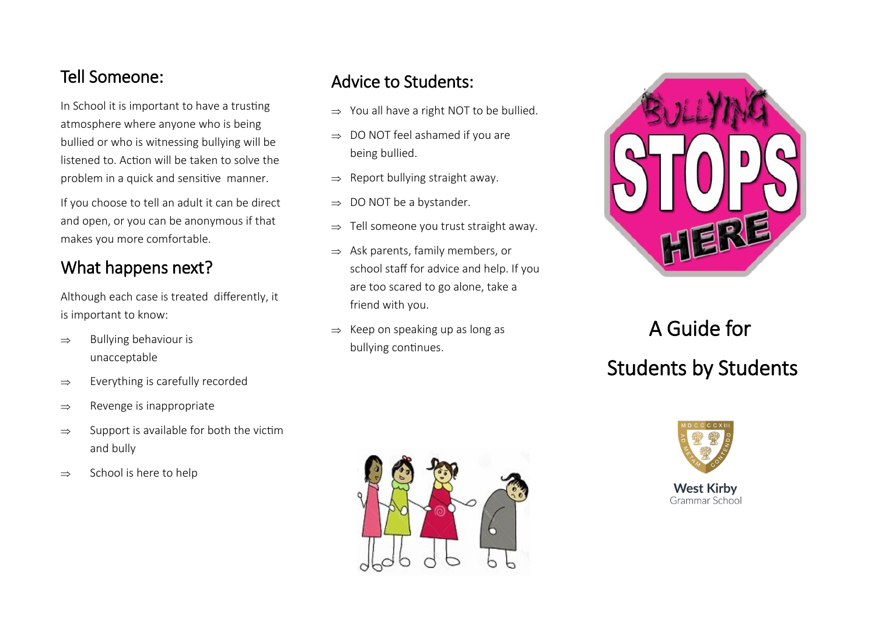In School it is important to have a trusting atmosphere where anyone who is being bullied or who is witnessing bullying will be listened to. Action will be taken to solve the problem in a quick and sensitive manner.

If you choose to tell an adult it can be direct and open, or you can be anonymous if that makes you more comfortable.

### What happens next?

Although each case is treated differently, it is important to know:

- $\Rightarrow$  Bullying behaviour is unacceptable
- $\Rightarrow$  Everything is carefully recorded
- $\Rightarrow$  Revenge is inappropriate
- $\Rightarrow$  Support is available for both the victim and bully
- $\Rightarrow$  School is here to help

## Tell Someone: Advice to Students:

- $\Rightarrow$  You all have a right NOT to be bullied.
- $\Rightarrow$  DO NOT feel ashamed if you are being bullied.
- $\Rightarrow$  Report bullying straight away.
- $\Rightarrow$  DO NOT be a bystander.
- $\Rightarrow$  Tell someone you trust straight away.
- $\Rightarrow$  Ask parents, family members, or school staff for advice and help. If you are too scared to go alone, take a friend with you.
- $\Rightarrow$  Keep on speaking up as long as bullying continues.



# A Guide for Students by Students



**West Kirby** Grammar School